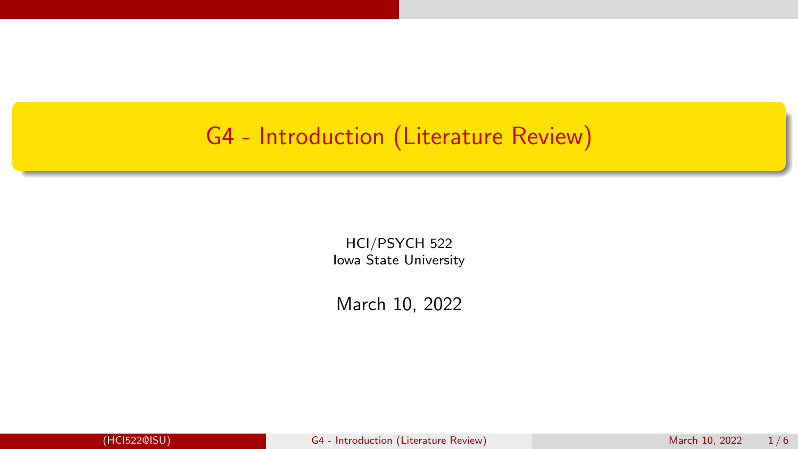# <span id="page-0-0"></span>G4 - Introduction (Literature Review)

HCI/PSYCH 522 Iowa State University

March 10, 2022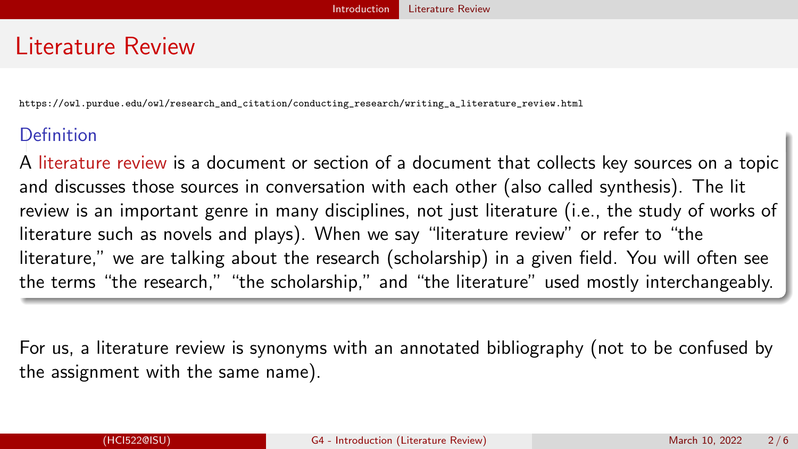#### <span id="page-1-0"></span>Literature Review

[https://owl.purdue.edu/owl/research\\_and\\_citation/conducting\\_research/writing\\_a\\_literature\\_review.html](https://owl.purdue.edu/owl/research_and_citation/conducting_research/writing_a_literature_review.html)

#### Definition

A literature review is a document or section of a document that collects key sources on a topic and discusses those sources in conversation with each other (also called synthesis). The lit review is an important genre in many disciplines, not just literature (i.e., the study of works of literature such as novels and plays). When we say "literature review" or refer to "the literature," we are talking about the research (scholarship) in a given field. You will often see the terms "the research," "the scholarship," and "the literature" used mostly interchangeably.

For us, a literature review is synonyms with an annotated bibliography (not to be confused by the assignment with the same name).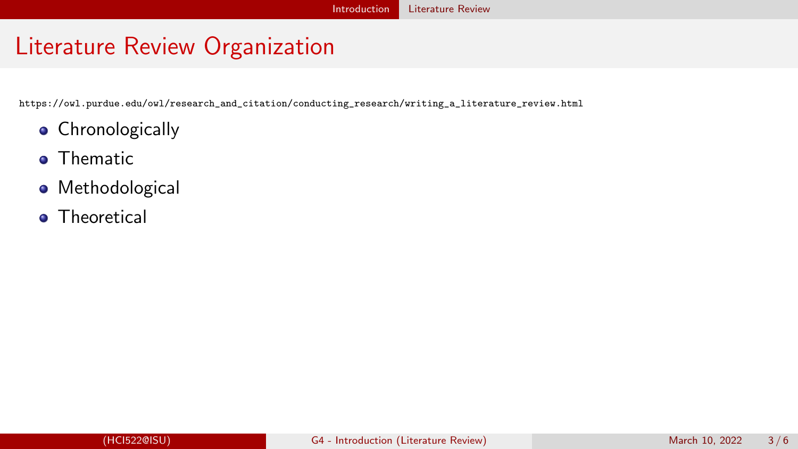# Literature Review Organization

[https://owl.purdue.edu/owl/research\\_and\\_citation/conducting\\_research/writing\\_a\\_literature\\_review.html](https://owl.purdue.edu/owl/research_and_citation/conducting_research/writing_a_literature_review.html)

- **•** Chronologically
- **o** Thematic
- **•** Methodological
- **o** Theoretical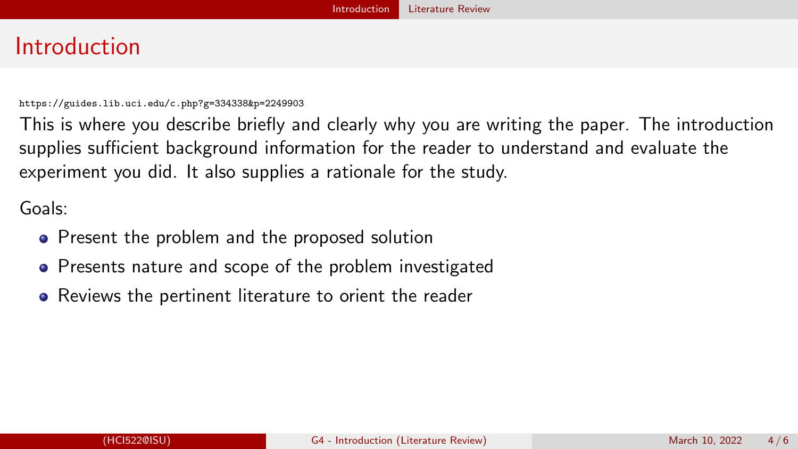#### Introduction

<https://guides.lib.uci.edu/c.php?g=334338&p=2249903>

This is where you describe briefly and clearly why you are writing the paper. The introduction supplies sufficient background information for the reader to understand and evaluate the experiment you did. It also supplies a rationale for the study.

Goals:

- Present the problem and the proposed solution
- Presents nature and scope of the problem investigated
- Reviews the pertinent literature to orient the reader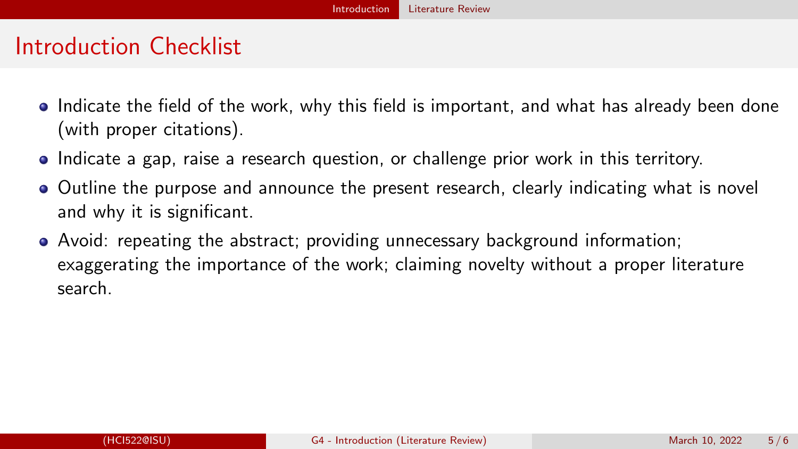### Introduction Checklist

- Indicate the field of the work, why this field is important, and what has already been done (with proper citations).
- Indicate a gap, raise a research question, or challenge prior work in this territory.
- Outline the purpose and announce the present research, clearly indicating what is novel and why it is significant.
- Avoid: repeating the abstract; providing unnecessary background information; exaggerating the importance of the work; claiming novelty without a proper literature search.